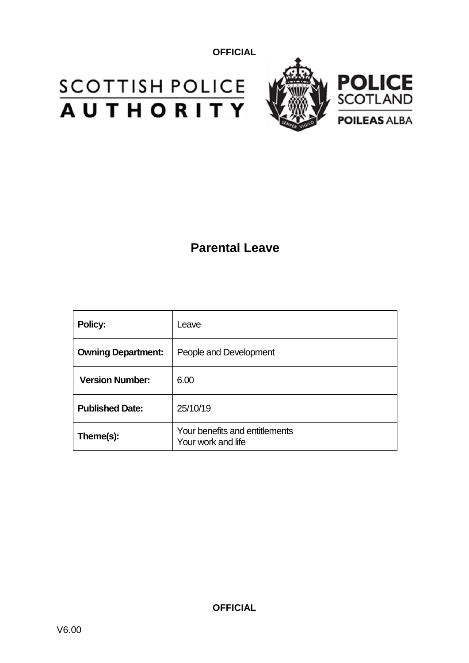# **SCOTTISH POLICE**<br>**AUTHORITY**



## **Parental Leave**

| <b>Policy:</b>            | Leave                                                |
|---------------------------|------------------------------------------------------|
| <b>Owning Department:</b> | People and Development                               |
| <b>Version Number:</b>    | 6.00                                                 |
| <b>Published Date:</b>    | 25/10/19                                             |
| Theme(s):                 | Your benefits and entitlements<br>Your work and life |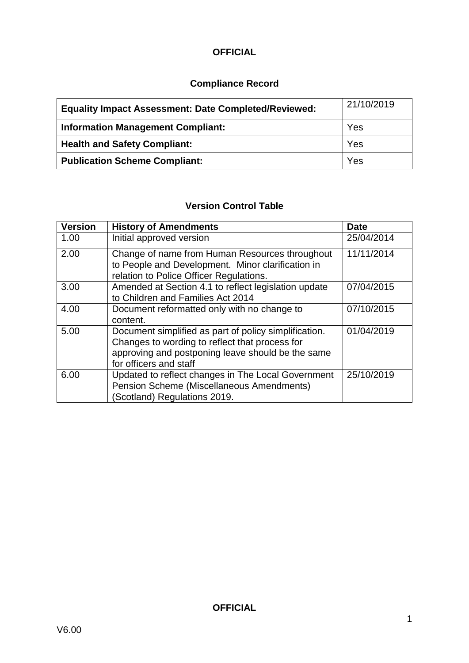#### **Compliance Record**

| <b>Equality Impact Assessment: Date Completed/Reviewed:</b> | 21/10/2019 |
|-------------------------------------------------------------|------------|
| <b>Information Management Compliant:</b>                    | Yes        |
| <b>Health and Safety Compliant:</b>                         | Yes        |
| <b>Publication Scheme Compliant:</b>                        | Yes        |

#### **Version Control Table**

| <b>Version</b> | <b>History of Amendments</b>                                                                                                                                                           | <b>Date</b> |
|----------------|----------------------------------------------------------------------------------------------------------------------------------------------------------------------------------------|-------------|
| 1.00           | Initial approved version                                                                                                                                                               | 25/04/2014  |
| 2.00           | Change of name from Human Resources throughout<br>to People and Development. Minor clarification in<br>relation to Police Officer Regulations.                                         | 11/11/2014  |
| 3.00           | Amended at Section 4.1 to reflect legislation update<br>to Children and Families Act 2014                                                                                              | 07/04/2015  |
| 4.00           | Document reformatted only with no change to<br>content.                                                                                                                                | 07/10/2015  |
| 5.00           | Document simplified as part of policy simplification.<br>Changes to wording to reflect that process for<br>approving and postponing leave should be the same<br>for officers and staff | 01/04/2019  |
| 6.00           | Updated to reflect changes in The Local Government<br>Pension Scheme (Miscellaneous Amendments)<br>(Scotland) Regulations 2019.                                                        | 25/10/2019  |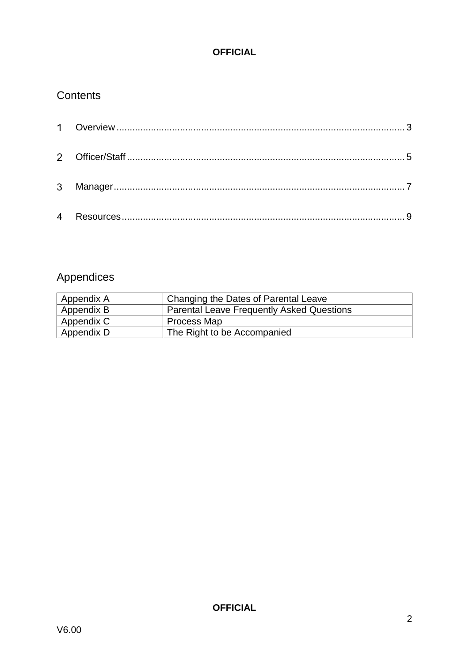#### **Contents**

### Appendices

| Appendix A | Changing the Dates of Parental Leave             |
|------------|--------------------------------------------------|
| Appendix B | <b>Parental Leave Frequently Asked Questions</b> |
| Appendix C | Process Map                                      |
| Appendix D | The Right to be Accompanied                      |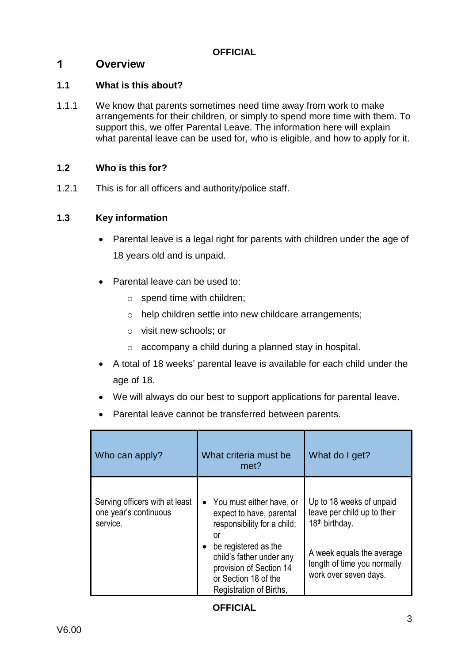#### <span id="page-3-0"></span> $\mathbf 1$ **Overview**

#### **1.1 What is this about?**

1.1.1 We know that parents sometimes need time away from work to make arrangements for their children, or simply to spend more time with them. To support this, we offer Parental Leave. The information here will explain what parental leave can be used for, who is eligible, and how to apply for it.

#### **1.2 Who is this for?**

1.2.1 This is for all officers and authority/police staff.

#### **1.3 Key information**

- Parental leave is a legal right for parents with children under the age of 18 years old and is unpaid.
- Parental leave can be used to:
	- o spend time with children;
	- o help children settle into new childcare arrangements;
	- o visit new schools; or
	- o accompany a child during a planned stay in hospital.
- A total of 18 weeks' parental leave is available for each child under the age of 18.
- We will always do our best to support applications for parental leave.
- Parental leave cannot be transferred between parents.

| Who can apply?                                                      | What criteria must be<br>met?                                                                                                                                                                                                              | What do I get?                                                                                                                                                             |
|---------------------------------------------------------------------|--------------------------------------------------------------------------------------------------------------------------------------------------------------------------------------------------------------------------------------------|----------------------------------------------------------------------------------------------------------------------------------------------------------------------------|
| Serving officers with at least<br>one year's continuous<br>service. | • You must either have, or<br>expect to have, parental<br>responsibility for a child;<br>or<br>be registered as the<br>$\bullet$<br>child's father under any<br>provision of Section 14<br>or Section 18 of the<br>Registration of Births, | Up to 18 weeks of unpaid<br>leave per child up to their<br>18 <sup>th</sup> birthday.<br>A week equals the average<br>length of time you normally<br>work over seven days. |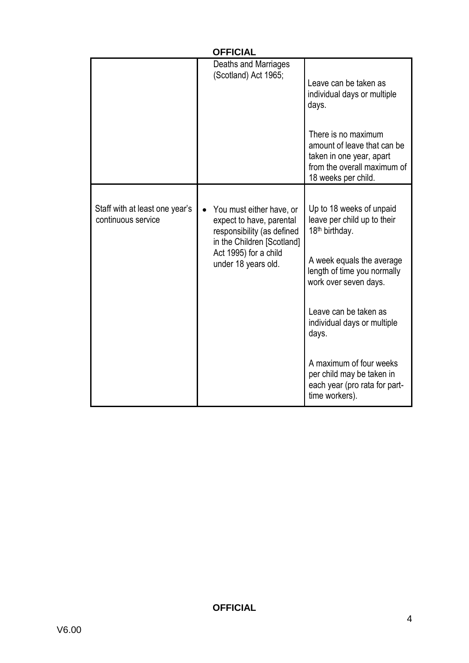| <b>OFFICIAL</b>                                      |                                                                                                                                                                               |                                                                                                                                                                                                                                                                                                                                                        |
|------------------------------------------------------|-------------------------------------------------------------------------------------------------------------------------------------------------------------------------------|--------------------------------------------------------------------------------------------------------------------------------------------------------------------------------------------------------------------------------------------------------------------------------------------------------------------------------------------------------|
|                                                      | Deaths and Marriages<br>(Scotland) Act 1965;                                                                                                                                  | Leave can be taken as<br>individual days or multiple<br>days.<br>There is no maximum<br>amount of leave that can be<br>taken in one year, apart<br>from the overall maximum of<br>18 weeks per child.                                                                                                                                                  |
| Staff with at least one year's<br>continuous service | You must either have, or<br>$\bullet$<br>expect to have, parental<br>responsibility (as defined<br>in the Children [Scotland]<br>Act 1995) for a child<br>under 18 years old. | Up to 18 weeks of unpaid<br>leave per child up to their<br>18 <sup>th</sup> birthday.<br>A week equals the average<br>length of time you normally<br>work over seven days.<br>Leave can be taken as<br>individual days or multiple<br>days.<br>A maximum of four weeks<br>per child may be taken in<br>each year (pro rata for part-<br>time workers). |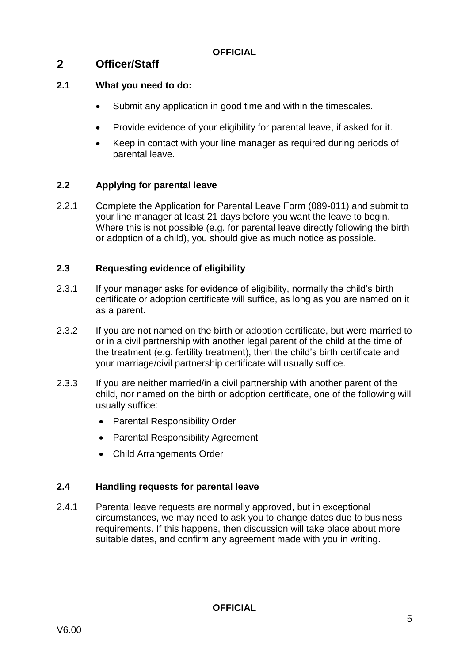#### <span id="page-5-0"></span> $2<sup>1</sup>$ **Officer/Staff**

#### **2.1 What you need to do:**

- Submit any application in good time and within the timescales.
- Provide evidence of your eligibility for parental leave, if asked for it.
- Keep in contact with your line manager as required during periods of parental leave.

#### **2.2 Applying for parental leave**

2.2.1 Complete the Application for Parental Leave Form (089-011) and submit to your line manager at least 21 days before you want the leave to begin. Where this is not possible (e.g. for parental leave directly following the birth or adoption of a child), you should give as much notice as possible.

#### **2.3 Requesting evidence of eligibility**

- 2.3.1 If your manager asks for evidence of eligibility, normally the child's birth certificate or adoption certificate will suffice, as long as you are named on it as a parent.
- 2.3.2 If you are not named on the birth or adoption certificate, but were married to or in a civil partnership with another legal parent of the child at the time of the treatment (e.g. fertility treatment), then the child's birth certificate and your marriage/civil partnership certificate will usually suffice.
- 2.3.3 If you are neither married/in a civil partnership with another parent of the child, nor named on the birth or adoption certificate, one of the following will usually suffice:
	- Parental Responsibility Order
	- Parental Responsibility Agreement
	- Child Arrangements Order

#### **2.4 Handling requests for parental leave**

2.4.1 Parental leave requests are normally approved, but in exceptional circumstances, we may need to ask you to change dates due to business requirements. If this happens, then discussion will take place about more suitable dates, and confirm any agreement made with you in writing.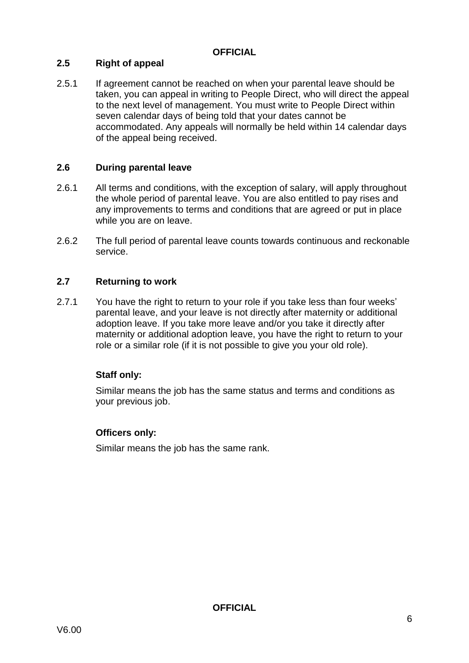#### **2.5 Right of appeal**

2.5.1 If agreement cannot be reached on when your parental leave should be taken, you can appeal in writing to People Direct, who will direct the appeal to the next level of management. You must write to People Direct within seven calendar days of being told that your dates cannot be accommodated. Any appeals will normally be held within 14 calendar days of the appeal being received.

#### **2.6 During parental leave**

- 2.6.1 All terms and conditions, with the exception of salary, will apply throughout the whole period of parental leave. You are also entitled to pay rises and any improvements to terms and conditions that are agreed or put in place while you are on leave.
- 2.6.2 The full period of parental leave counts towards continuous and reckonable service.

#### **2.7 Returning to work**

2.7.1 You have the right to return to your role if you take less than four weeks' parental leave, and your leave is not directly after maternity or additional adoption leave. If you take more leave and/or you take it directly after maternity or additional adoption leave, you have the right to return to your role or a similar role (if it is not possible to give you your old role).

#### **Staff only:**

Similar means the job has the same status and terms and conditions as your previous job.

#### **Officers only:**

Similar means the job has the same rank.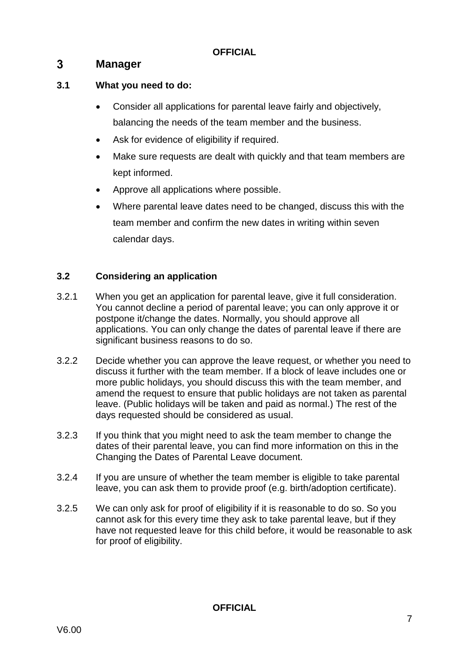#### <span id="page-7-0"></span> $3<sup>1</sup>$ **Manager**

#### **3.1 What you need to do:**

- Consider all applications for parental leave fairly and objectively, balancing the needs of the team member and the business.
- Ask for evidence of eligibility if required.
- Make sure requests are dealt with quickly and that team members are kept informed.
- Approve all applications where possible.
- Where parental leave dates need to be changed, discuss this with the team member and confirm the new dates in writing within seven calendar days.

#### **3.2 Considering an application**

- 3.2.1 When you get an application for parental leave, give it full consideration. You cannot decline a period of parental leave; you can only approve it or postpone it/change the dates. Normally, you should approve all applications. You can only change the dates of parental leave if there are significant business reasons to do so.
- 3.2.2 Decide whether you can approve the leave request, or whether you need to discuss it further with the team member. If a block of leave includes one or more public holidays, you should discuss this with the team member, and amend the request to ensure that public holidays are not taken as parental leave. (Public holidays will be taken and paid as normal.) The rest of the days requested should be considered as usual.
- 3.2.3 If you think that you might need to ask the team member to change the dates of their parental leave, you can find more information on this in the Changing the Dates of Parental Leave document.
- 3.2.4 If you are unsure of whether the team member is eligible to take parental leave, you can ask them to provide proof (e.g. birth/adoption certificate).
- 3.2.5 We can only ask for proof of eligibility if it is reasonable to do so. So you cannot ask for this every time they ask to take parental leave, but if they have not requested leave for this child before, it would be reasonable to ask for proof of eligibility.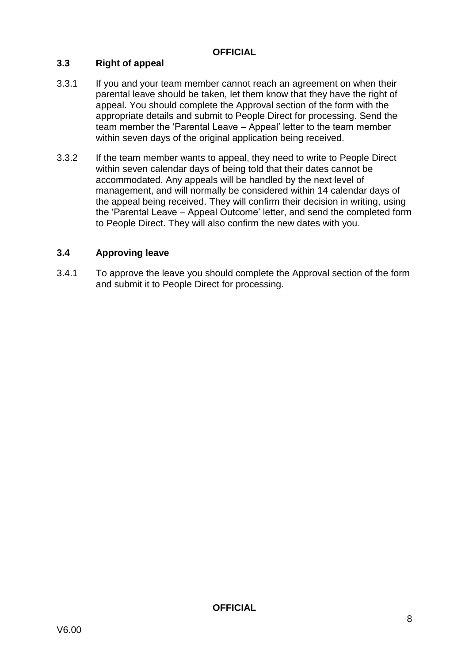#### **3.3 Right of appeal**

- 3.3.1 If you and your team member cannot reach an agreement on when their parental leave should be taken, let them know that they have the right of appeal. You should complete the Approval section of the form with the appropriate details and submit to People Direct for processing. Send the team member the 'Parental Leave – Appeal' letter to the team member within seven days of the original application being received.
- 3.3.2 If the team member wants to appeal, they need to write to People Direct within seven calendar days of being told that their dates cannot be accommodated. Any appeals will be handled by the next level of management, and will normally be considered within 14 calendar days of the appeal being received. They will confirm their decision in writing, using the 'Parental Leave – Appeal Outcome' letter, and send the completed form to People Direct. They will also confirm the new dates with you.

#### **3.4 Approving leave**

3.4.1 To approve the leave you should complete the Approval section of the form and submit it to People Direct for processing.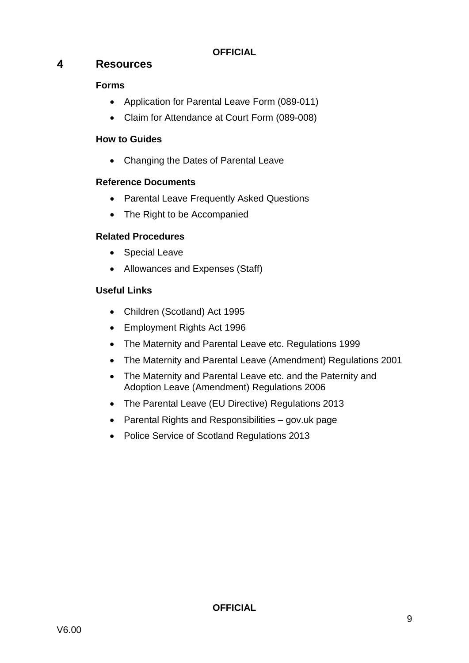#### <span id="page-9-0"></span> $\overline{\mathbf{A}}$ **Resources**

#### **Forms**

- Application for Parental Leave Form (089-011)
- [Claim for Attendance at Court Form \(089-008\)](https://spi.spnet.local/policescotland/guidance/Standard%20Operating%20Procedures/Parental%20Leave%20SOP.pdf)

#### **How to Guides**

Changing the Dates of Parental Leave

#### **Reference Documents**

- Parental Leave Frequently Asked Questions
- The Right to be Accompanied

#### **Related Procedures**

- Special Leave
- Allowances and Expenses (Staff)

#### **Useful Links**

- [Children \(Scotland\) Act 1995](https://www.legislation.gov.uk/ukpga/1995/36/contents)
- [Employment Rights Act 1996](http://www.legislation.gov.uk/ukpga/1996/18/contents)
- [The Maternity and Parental Leave etc. Regulations 1999](http://www.legislation.gov.uk/uksi/1999/3312/contents/made)
- [The Maternity and Parental Leave \(Amendment\) Regulations 2001](http://www.legislation.gov.uk/uksi/2001/4010/contents/made)
- The Maternity and Parental Leave etc. and the Paternity and [Adoption Leave \(Amendment\) Regulations 2006](http://www.legislation.gov.uk/uksi/2006/2014/contents/made)
- [The Parental Leave \(EU Directive\) Regulations 2013](http://www.legislation.gov.uk/ukdsi/2013/9780111532850)
- [Parental Rights and Responsibilities –](https://www.gov.uk/parental-rights-responsibilities) gov.uk page
- [Police Service of Scotland Regulations 2013](http://www.legislation.gov.uk/ssi/2013/61/made)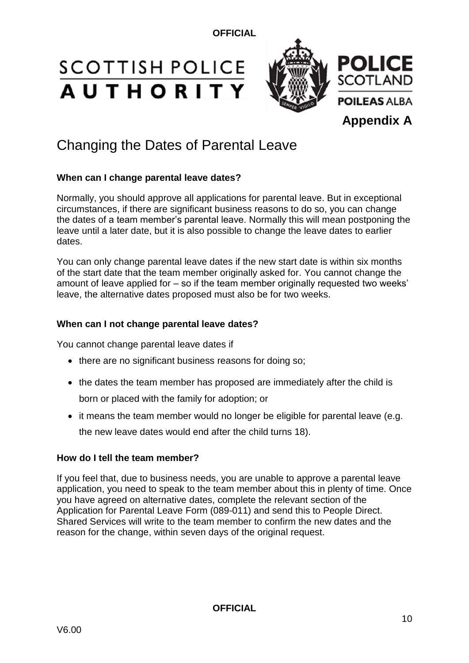# **SCOTTISH POLICE AUTHORITY**



## Changing the Dates of Parental Leave

#### **When can I change parental leave dates?**

Normally, you should approve all applications for parental leave. But in exceptional circumstances, if there are significant business reasons to do so, you can change the dates of a team member's parental leave. Normally this will mean postponing the leave until a later date, but it is also possible to change the leave dates to earlier dates.

You can only change parental leave dates if the new start date is within six months of the start date that the team member originally asked for. You cannot change the amount of leave applied for – so if the team member originally requested two weeks' leave, the alternative dates proposed must also be for two weeks.

#### **When can I not change parental leave dates?**

You cannot change parental leave dates if

- there are no significant business reasons for doing so;
- the dates the team member has proposed are immediately after the child is born or placed with the family for adoption; or
- it means the team member would no longer be eligible for parental leave (e.g. the new leave dates would end after the child turns 18).

#### **How do I tell the team member?**

If you feel that, due to business needs, you are unable to approve a parental leave application, you need to speak to the team member about this in plenty of time. Once you have agreed on alternative dates, complete the relevant section of the Application for Parental Leave Form (089-011) and send this to People Direct. Shared Services will write to the team member to confirm the new dates and the reason for the change, within seven days of the original request.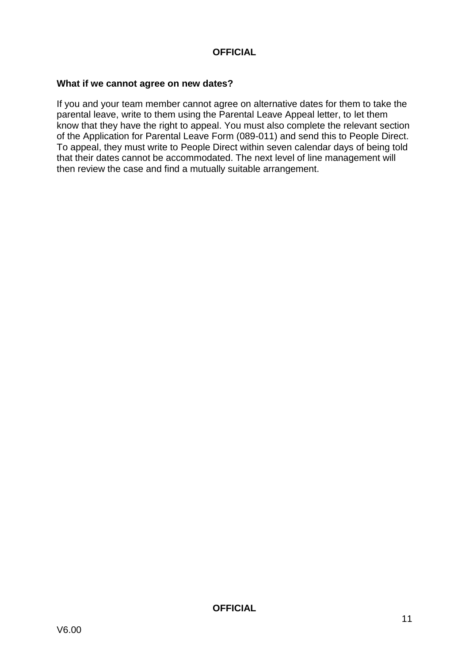#### **What if we cannot agree on new dates?**

If you and your team member cannot agree on alternative dates for them to take the parental leave, write to them using the Parental Leave Appeal letter, to let them know that they have the right to appeal. You must also complete the relevant section of the Application for Parental Leave Form (089-011) and send this to People Direct. To appeal, they must write to People Direct within seven calendar days of being told that their dates cannot be accommodated. The next level of line management will then review the case and find a mutually suitable arrangement.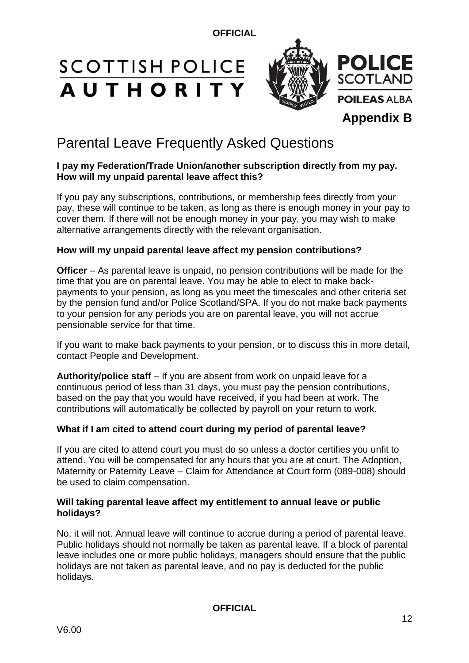# **SCOTTISH POLICE AUTHORITY**



## Parental Leave Frequently Asked Questions

#### **I pay my Federation/Trade Union/another subscription directly from my pay. How will my unpaid parental leave affect this?**

If you pay any subscriptions, contributions, or membership fees directly from your pay, these will continue to be taken, as long as there is enough money in your pay to cover them. If there will not be enough money in your pay, you may wish to make alternative arrangements directly with the relevant organisation.

#### **How will my unpaid parental leave affect my pension contributions?**

**Officer** – As parental leave is unpaid, no pension contributions will be made for the time that you are on parental leave. You may be able to elect to make backpayments to your pension, as long as you meet the timescales and other criteria set by the pension fund and/or Police Scotland/SPA. If you do not make back payments to your pension for any periods you are on parental leave, you will not accrue pensionable service for that time.

If you want to make back payments to your pension, or to discuss this in more detail, contact People and Development.

**Authority/police staff** – If you are absent from work on unpaid leave for a continuous period of less than 31 days, you must pay the pension contributions, based on the pay that you would have received, if you had been at work. The contributions will automatically be collected by payroll on your return to work.

#### **What if I am cited to attend court during my period of parental leave?**

If you are cited to attend court you must do so unless a doctor certifies you unfit to attend. You will be compensated for any hours that you are at court. The Adoption, Maternity or Paternity Leave – Claim for Attendance at Court form (089-008) should be used to claim compensation.

#### **Will taking parental leave affect my entitlement to annual leave or public holidays?**

No, it will not. Annual leave will continue to accrue during a period of parental leave. Public holidays should not normally be taken as parental leave. If a block of parental leave includes one or more public holidays, managers should ensure that the public holidays are not taken as parental leave, and no pay is deducted for the public holidays.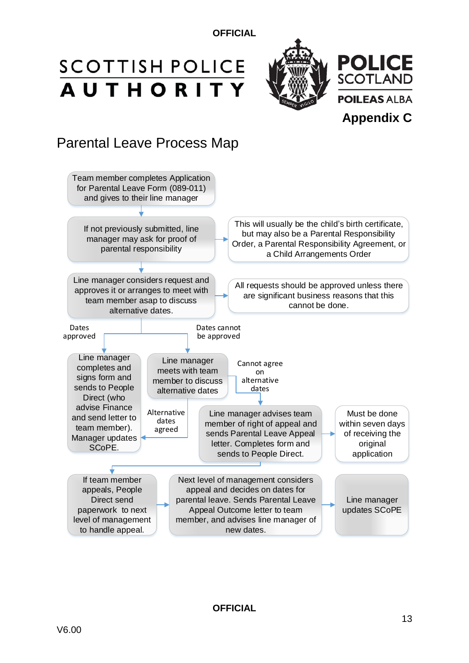# **SCOTTISH POLICE AUTHORITY**



# Parental Leave Process Map